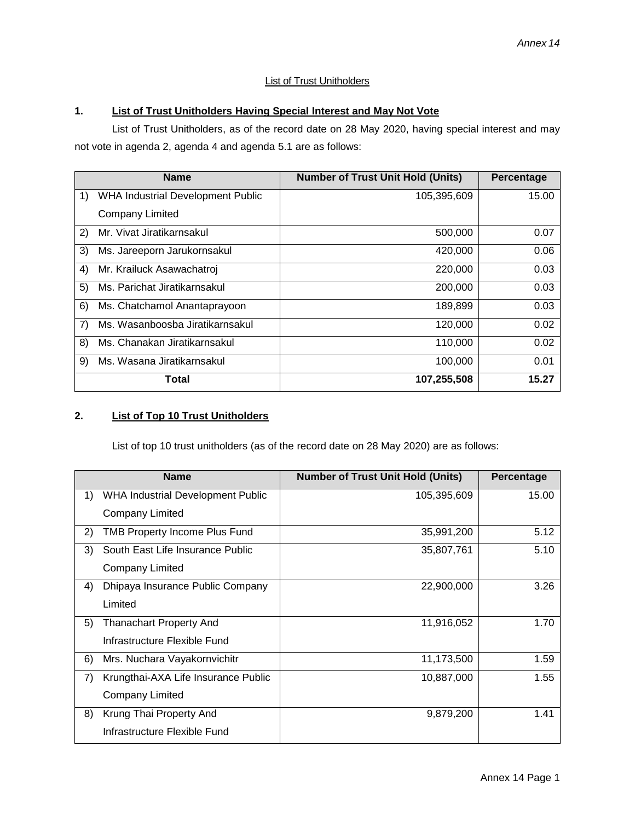## **List of Trust Unitholders**

## **1. List of Trust Unitholders Having Special Interest and May Not Vote**

List of Trust Unitholders, as of the record date on 28 May 2020, having special interest and may not vote in agenda 2, agenda 4 and agenda 5.1 are as follows:

|       | <b>Name</b>                       | <b>Number of Trust Unit Hold (Units)</b> | Percentage |
|-------|-----------------------------------|------------------------------------------|------------|
| 1)    | WHA Industrial Development Public | 105,395,609                              | 15.00      |
|       | <b>Company Limited</b>            |                                          |            |
| 2)    | Mr. Vivat Jiratikarnsakul         | 500,000                                  | 0.07       |
| 3)    | Ms. Jareeporn Jarukornsakul       | 420,000                                  | 0.06       |
| 4)    | Mr. Krailuck Asawachatroj         | 220,000                                  | 0.03       |
| 5)    | Ms. Parichat Jiratikarnsakul      | 200,000                                  | 0.03       |
| 6)    | Ms. Chatchamol Anantaprayoon      | 189,899                                  | 0.03       |
| 7)    | Ms. Wasanboosba Jiratikarnsakul   | 120,000                                  | 0.02       |
| 8)    | Ms. Chanakan Jiratikarnsakul      | 110,000                                  | 0.02       |
| 9)    | Ms. Wasana Jiratikarnsakul        | 100,000                                  | 0.01       |
| Total |                                   | 107,255,508                              | 15.27      |

## **2. List of Top 10 Trust Unitholders**

List of top 10 trust unitholders (as of the record date on 28 May 2020) are as follows:

|    | <b>Name</b>                              | <b>Number of Trust Unit Hold (Units)</b> | Percentage |
|----|------------------------------------------|------------------------------------------|------------|
| 1) | <b>WHA Industrial Development Public</b> | 105,395,609                              | 15.00      |
|    | Company Limited                          |                                          |            |
| 2) | <b>TMB Property Income Plus Fund</b>     | 35,991,200                               | 5.12       |
| 3) | South East Life Insurance Public         | 35,807,761                               | 5.10       |
|    | <b>Company Limited</b>                   |                                          |            |
| 4) | Dhipaya Insurance Public Company         | 22,900,000                               | 3.26       |
|    | Limited                                  |                                          |            |
| 5) | <b>Thanachart Property And</b>           | 11,916,052                               | 1.70       |
|    | Infrastructure Flexible Fund             |                                          |            |
| 6) | Mrs. Nuchara Vayakornvichitr             | 11,173,500                               | 1.59       |
| 7) | Krungthai-AXA Life Insurance Public      | 10,887,000                               | 1.55       |
|    | <b>Company Limited</b>                   |                                          |            |
| 8) | Krung Thai Property And                  | 9,879,200                                | 1.41       |
|    | Infrastructure Flexible Fund             |                                          |            |